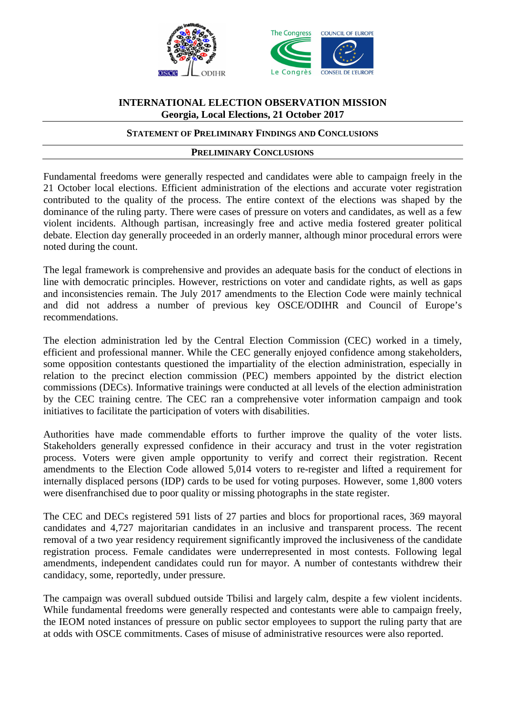



# **INTERNATIONAL ELECTION OBSERVATION MISSION Georgia, Local Elections, 21 October 2017**

#### **STATEMENT OF PRELIMINARY FINDINGS AND CONCLUSIONS**

#### **PRELIMINARY CONCLUSIONS**

Fundamental freedoms were generally respected and candidates were able to campaign freely in the 21 October local elections. Efficient administration of the elections and accurate voter registration contributed to the quality of the process. The entire context of the elections was shaped by the dominance of the ruling party. There were cases of pressure on voters and candidates, as well as a few violent incidents. Although partisan, increasingly free and active media fostered greater political debate. Election day generally proceeded in an orderly manner, although minor procedural errors were noted during the count.

The legal framework is comprehensive and provides an adequate basis for the conduct of elections in line with democratic principles. However, restrictions on voter and candidate rights, as well as gaps and inconsistencies remain. The July 2017 amendments to the Election Code were mainly technical and did not address a number of previous key OSCE/ODIHR and Council of Europe's recommendations.

The election administration led by the Central Election Commission (CEC) worked in a timely, efficient and professional manner. While the CEC generally enjoyed confidence among stakeholders, some opposition contestants questioned the impartiality of the election administration, especially in relation to the precinct election commission (PEC) members appointed by the district election commissions (DECs). Informative trainings were conducted at all levels of the election administration by the CEC training centre. The CEC ran a comprehensive voter information campaign and took initiatives to facilitate the participation of voters with disabilities.

Authorities have made commendable efforts to further improve the quality of the voter lists. Stakeholders generally expressed confidence in their accuracy and trust in the voter registration process. Voters were given ample opportunity to verify and correct their registration. Recent amendments to the Election Code allowed 5,014 voters to re-register and lifted a requirement for internally displaced persons (IDP) cards to be used for voting purposes. However, some 1,800 voters were disenfranchised due to poor quality or missing photographs in the state register.

The CEC and DECs registered 591 lists of 27 parties and blocs for proportional races, 369 mayoral candidates and 4,727 majoritarian candidates in an inclusive and transparent process. The recent removal of a two year residency requirement significantly improved the inclusiveness of the candidate registration process. Female candidates were underrepresented in most contests. Following legal amendments, independent candidates could run for mayor. A number of contestants withdrew their candidacy, some, reportedly, under pressure.

The campaign was overall subdued outside Tbilisi and largely calm, despite a few violent incidents. While fundamental freedoms were generally respected and contestants were able to campaign freely, the IEOM noted instances of pressure on public sector employees to support the ruling party that are at odds with OSCE commitments. Cases of misuse of administrative resources were also reported.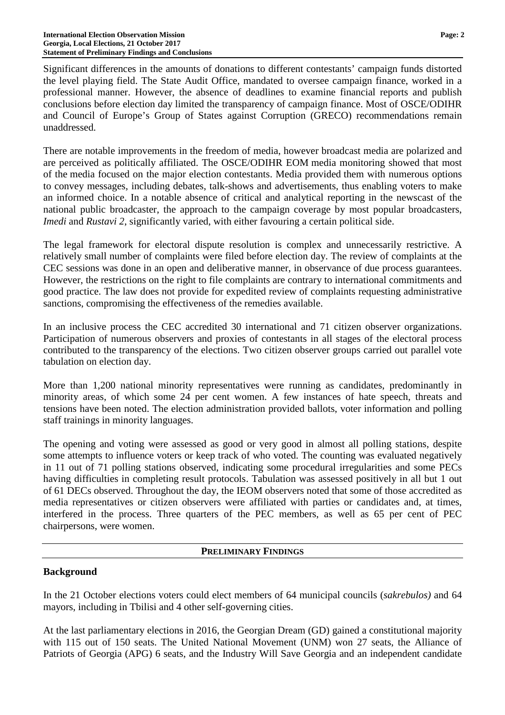Significant differences in the amounts of donations to different contestants' campaign funds distorted the level playing field. The State Audit Office, mandated to oversee campaign finance, worked in a professional manner. However, the absence of deadlines to examine financial reports and publish conclusions before election day limited the transparency of campaign finance. Most of OSCE/ODIHR and Council of Europe's Group of States against Corruption (GRECO) recommendations remain unaddressed.

There are notable improvements in the freedom of media, however broadcast media are polarized and are perceived as politically affiliated. The OSCE/ODIHR EOM media monitoring showed that most of the media focused on the major election contestants. Media provided them with numerous options to convey messages, including debates, talk-shows and advertisements, thus enabling voters to make an informed choice. In a notable absence of critical and analytical reporting in the newscast of the national public broadcaster, the approach to the campaign coverage by most popular broadcasters, *Imedi* and *Rustavi 2*, significantly varied, with either favouring a certain political side.

The legal framework for electoral dispute resolution is complex and unnecessarily restrictive. A relatively small number of complaints were filed before election day. The review of complaints at the CEC sessions was done in an open and deliberative manner, in observance of due process guarantees. However, the restrictions on the right to file complaints are contrary to international commitments and good practice. The law does not provide for expedited review of complaints requesting administrative sanctions, compromising the effectiveness of the remedies available.

In an inclusive process the CEC accredited 30 international and 71 citizen observer organizations. Participation of numerous observers and proxies of contestants in all stages of the electoral process contributed to the transparency of the elections. Two citizen observer groups carried out parallel vote tabulation on election day.

More than 1,200 national minority representatives were running as candidates, predominantly in minority areas, of which some 24 per cent women. A few instances of hate speech, threats and tensions have been noted. The election administration provided ballots, voter information and polling staff trainings in minority languages.

The opening and voting were assessed as good or very good in almost all polling stations, despite some attempts to influence voters or keep track of who voted. The counting was evaluated negatively in 11 out of 71 polling stations observed, indicating some procedural irregularities and some PECs having difficulties in completing result protocols. Tabulation was assessed positively in all but 1 out of 61 DECs observed. Throughout the day, the IEOM observers noted that some of those accredited as media representatives or citizen observers were affiliated with parties or candidates and, at times, interfered in the process. Three quarters of the PEC members, as well as 65 per cent of PEC chairpersons, were women.

# **PRELIMINARY FINDINGS**

# **Background**

In the 21 October elections voters could elect members of 64 municipal councils (*sakrebulos)* and 64 mayors, including in Tbilisi and 4 other self-governing cities.

At the last parliamentary elections in 2016, the Georgian Dream (GD) gained a constitutional majority with 115 out of 150 seats. The United National Movement (UNM) won 27 seats, the Alliance of Patriots of Georgia (APG) 6 seats, and the Industry Will Save Georgia and an independent candidate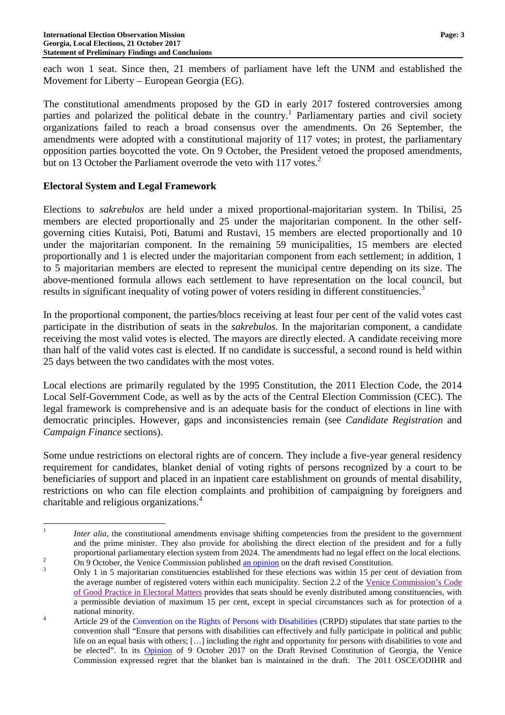each won 1 seat. Since then, 21 members of parliament have left the UNM and established the Movement for Liberty – European Georgia (EG).

The constitutional amendments proposed by the GD in early 2017 fostered controversies among parties and polarized the political debate in the country.<sup>1</sup> Parliamentary parties and civil society organizations failed to reach a broad consensus over the amendments. On 26 September, the amendments were adopted with a constitutional majority of 117 votes; in protest, the parliamentary opposition parties boycotted the vote. On 9 October, the President vetoed the proposed amendments, but on 13 October the Parliament overrode the veto with 117 votes.<sup>2</sup>

# **Electoral System and Legal Framework**

Elections to *sakrebulos* are held under a mixed proportional-majoritarian system. In Tbilisi, 25 members are elected proportionally and 25 under the majoritarian component. In the other selfgoverning cities Kutaisi, Poti, Batumi and Rustavi, 15 members are elected proportionally and 10 under the majoritarian component. In the remaining 59 municipalities, 15 members are elected proportionally and 1 is elected under the majoritarian component from each settlement; in addition, 1 to 5 majoritarian members are elected to represent the municipal centre depending on its size. The above-mentioned formula allows each settlement to have representation on the local council, but results in significant inequality of voting power of voters residing in different constituencies.<sup>3</sup>

In the proportional component, the parties/blocs receiving at least four per cent of the valid votes cast participate in the distribution of seats in the *sakrebulos.* In the majoritarian component, a candidate receiving the most valid votes is elected. The mayors are directly elected. A candidate receiving more than half of the valid votes cast is elected. If no candidate is successful, a second round is held within 25 days between the two candidates with the most votes.

Local elections are primarily regulated by the 1995 Constitution, the 2011 Election Code, the 2014 Local Self-Government Code, as well as by the acts of the Central Election Commission (CEC). The legal framework is comprehensive and is an adequate basis for the conduct of elections in line with democratic principles. However, gaps and inconsistencies remain (see *Candidate Registration* and *Campaign Finance* sections).

Some undue restrictions on electoral rights are of concern. They include a five-year general residency requirement for candidates, blanket denial of voting rights of persons recognized by a court to be beneficiaries of support and placed in an inpatient care establishment on grounds of mental disability, restrictions on who can file election complaints and prohibition of campaigning by foreigners and charitable and religious organizations.<sup>4</sup>

 $\frac{1}{1}$ *Inter alia*, the constitutional amendments envisage shifting competencies from the president to the government and the prime minister. They also provide for abolishing the direct election of the president and for a fully proportional parliamentary election system from 2024. The amendments had no legal effect on the local elections. 2 On 9 October, the Venice Commission published an opinion on the draft revised Constitution.

<sup>3</sup> Only 1 in 5 majoritarian constituencies established for these elections was within 15 per cent of deviation from the average number of registered voters within each municipality. Section 2.2 of the Venice Commission's Code of Good Practice in Electoral Matters provides that seats should be evenly distributed among constituencies, with a permissible deviation of maximum 15 per cent, except in special circumstances such as for protection of a national minority.

<sup>4</sup> Article 29 of the Convention on the Rights of Persons with Disabilities (CRPD) stipulates that state parties to the convention shall "Ensure that persons with disabilities can effectively and fully participate in political and public life on an equal basis with others; […] including the right and opportunity for persons with disabilities to vote and be elected". In its Opinion of 9 October 2017 on the Draft Revised Constitution of Georgia, the Venice Commission expressed regret that the blanket ban is maintained in the draft. The 2011 OSCE/ODIHR and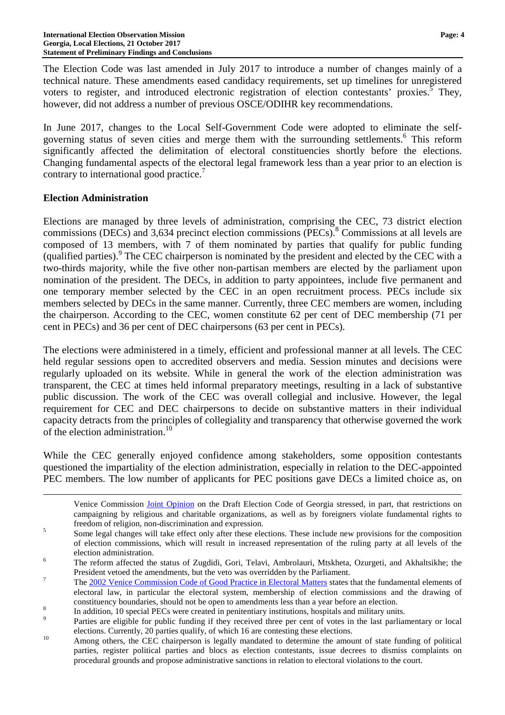The Election Code was last amended in July 2017 to introduce a number of changes mainly of a technical nature. These amendments eased candidacy requirements, set up timelines for unregistered voters to register, and introduced electronic registration of election contestants' proxies.<sup>5</sup> They, however, did not address a number of previous OSCE/ODIHR key recommendations.

In June 2017, changes to the Local Self-Government Code were adopted to eliminate the selfgoverning status of seven cities and merge them with the surrounding settlements.<sup>6</sup> This reform significantly affected the delimitation of electoral constituencies shortly before the elections. Changing fundamental aspects of the electoral legal framework less than a year prior to an election is contrary to international good practice.<sup>7</sup>

#### **Election Administration**

 $\overline{a}$ 

Elections are managed by three levels of administration, comprising the CEC, 73 district election commissions (DECs) and 3,634 precinct election commissions (PECs).<sup>8</sup> Commissions at all levels are composed of 13 members, with 7 of them nominated by parties that qualify for public funding (qualified parties).<sup>9</sup> The CEC chairperson is nominated by the president and elected by the CEC with a two-thirds majority, while the five other non-partisan members are elected by the parliament upon nomination of the president. The DECs, in addition to party appointees, include five permanent and one temporary member selected by the CEC in an open recruitment process. PECs include six members selected by DECs in the same manner. Currently, three CEC members are women, including the chairperson. According to the CEC, women constitute 62 per cent of DEC membership (71 per cent in PECs) and 36 per cent of DEC chairpersons (63 per cent in PECs).

The elections were administered in a timely, efficient and professional manner at all levels. The CEC held regular sessions open to accredited observers and media. Session minutes and decisions were regularly uploaded on its website. While in general the work of the election administration was transparent, the CEC at times held informal preparatory meetings, resulting in a lack of substantive public discussion. The work of the CEC was overall collegial and inclusive. However, the legal requirement for CEC and DEC chairpersons to decide on substantive matters in their individual capacity detracts from the principles of collegiality and transparency that otherwise governed the work of the election administration.<sup>10</sup>

While the CEC generally enjoyed confidence among stakeholders, some opposition contestants questioned the impartiality of the election administration, especially in relation to the DEC-appointed PEC members. The low number of applicants for PEC positions gave DECs a limited choice as, on

Venice Commission Joint Opinion on the Draft Election Code of Georgia stressed, in part, that restrictions on campaigning by religious and charitable organizations, as well as by foreigners violate fundamental rights to freedom of religion, non-discrimination and expression.

<sup>5</sup> Some legal changes will take effect only after these elections. These include new provisions for the composition of election commissions, which will result in increased representation of the ruling party at all levels of the election administration.

<sup>6</sup> The reform affected the status of Zugdidi, Gori, Telavi, Ambrolauri, Mtskheta, Ozurgeti, and Akhaltsikhe; the President vetoed the amendments, but the veto was overridden by the Parliament.

<sup>7</sup> The 2002 Venice Commission Code of Good Practice in Electoral Matters states that the fundamental elements of electoral law, in particular the electoral system, membership of election commissions and the drawing of constituency boundaries, should not be open to amendments less than a year before an election.

<sup>8</sup> In addition, 10 special PECs were created in penitentiary institutions, hospitals and military units.

 $\overline{Q}$  Parties are eligible for public funding if they received three per cent of votes in the last parliamentary or local elections. Currently, 20 parties qualify, of which 16 are contesting these elections.

<sup>&</sup>lt;sup>10</sup> Among others, the CEC chairperson is legally mandated to determine the amount of state funding of political parties, register political parties and blocs as election contestants, issue decrees to dismiss complaints on procedural grounds and propose administrative sanctions in relation to electoral violations to the court.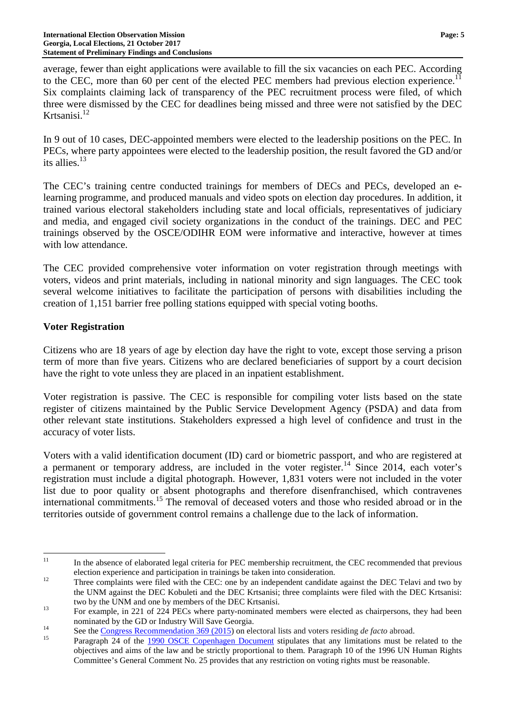average, fewer than eight applications were available to fill the six vacancies on each PEC. According to the CEC, more than 60 per cent of the elected PEC members had previous election experience.<sup>11</sup> Six complaints claiming lack of transparency of the PEC recruitment process were filed, of which three were dismissed by the CEC for deadlines being missed and three were not satisfied by the DEC Krtsanisi.<sup>12</sup>

In 9 out of 10 cases, DEC-appointed members were elected to the leadership positions on the PEC. In PECs, where party appointees were elected to the leadership position, the result favored the GD and/or its allies.<sup>13</sup>

The CEC's training centre conducted trainings for members of DECs and PECs, developed an elearning programme, and produced manuals and video spots on election day procedures. In addition, it trained various electoral stakeholders including state and local officials, representatives of judiciary and media, and engaged civil society organizations in the conduct of the trainings. DEC and PEC trainings observed by the OSCE/ODIHR EOM were informative and interactive, however at times with low attendance.

The CEC provided comprehensive voter information on voter registration through meetings with voters, videos and print materials, including in national minority and sign languages. The CEC took several welcome initiatives to facilitate the participation of persons with disabilities including the creation of 1,151 barrier free polling stations equipped with special voting booths.

# **Voter Registration**

Citizens who are 18 years of age by election day have the right to vote, except those serving a prison term of more than five years. Citizens who are declared beneficiaries of support by a court decision have the right to vote unless they are placed in an inpatient establishment.

Voter registration is passive. The CEC is responsible for compiling voter lists based on the state register of citizens maintained by the Public Service Development Agency (PSDA) and data from other relevant state institutions. Stakeholders expressed a high level of confidence and trust in the accuracy of voter lists.

Voters with a valid identification document (ID) card or biometric passport, and who are registered at a permanent or temporary address, are included in the voter register.<sup>14</sup> Since 2014, each voter's registration must include a digital photograph. However, 1,831 voters were not included in the voter list due to poor quality or absent photographs and therefore disenfranchised, which contravenes international commitments.<sup>15</sup> The removal of deceased voters and those who resided abroad or in the territories outside of government control remains a challenge due to the lack of information.

 $11$ <sup>11</sup> In the absence of elaborated legal criteria for PEC membership recruitment, the CEC recommended that previous election experience and participation in trainings be taken into consideration.

<sup>&</sup>lt;sup>12</sup> Three complaints were filed with the CEC: one by an independent candidate against the DEC Telavi and two by the UNM against the DEC Kobuleti and the DEC Krtsanisi; three complaints were filed with the DEC Krtsanisi: two by the UNM and one by members of the DEC Krtsanisi.

<sup>&</sup>lt;sup>13</sup> For example, in 221 of 224 PECs where party-nominated members were elected as chairpersons, they had been nominated by the GD or Industry Will Save Georgia.

<sup>14</sup> See the <u>Congress Recommendation 369 (2015</u>) on electoral lists and voters residing *de facto* abroad.

Paragraph 24 of the 1990 OSCE Copenhagen Document stipulates that any limitations must be related to the objectives and aims of the law and be strictly proportional to them. Paragraph 10 of the 1996 UN Human Rights Committee's General Comment No. 25 provides that any restriction on voting rights must be reasonable.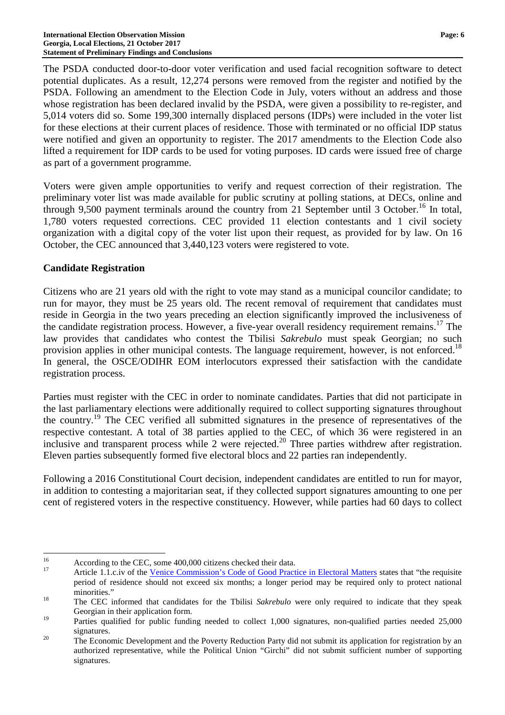The PSDA conducted door-to-door voter verification and used facial recognition software to detect potential duplicates. As a result, 12,274 persons were removed from the register and notified by the PSDA. Following an amendment to the Election Code in July, voters without an address and those whose registration has been declared invalid by the PSDA, were given a possibility to re-register, and 5,014 voters did so. Some 199,300 internally displaced persons (IDPs) were included in the voter list for these elections at their current places of residence. Those with terminated or no official IDP status were notified and given an opportunity to register. The 2017 amendments to the Election Code also lifted a requirement for IDP cards to be used for voting purposes. ID cards were issued free of charge as part of a government programme.

Voters were given ample opportunities to verify and request correction of their registration. The preliminary voter list was made available for public scrutiny at polling stations, at DECs, online and through 9,500 payment terminals around the country from 21 September until 3 October.<sup>16</sup> In total, 1,780 voters requested corrections. CEC provided 11 election contestants and 1 civil society organization with a digital copy of the voter list upon their request, as provided for by law. On 16 October, the CEC announced that 3,440,123 voters were registered to vote.

### **Candidate Registration**

Citizens who are 21 years old with the right to vote may stand as a municipal councilor candidate; to run for mayor, they must be 25 years old. The recent removal of requirement that candidates must reside in Georgia in the two years preceding an election significantly improved the inclusiveness of the candidate registration process. However, a five-year overall residency requirement remains.<sup>17</sup> The law provides that candidates who contest the Tbilisi *Sakrebulo* must speak Georgian; no such provision applies in other municipal contests. The language requirement, however, is not enforced.<sup>18</sup> In general, the OSCE/ODIHR EOM interlocutors expressed their satisfaction with the candidate registration process.

Parties must register with the CEC in order to nominate candidates. Parties that did not participate in the last parliamentary elections were additionally required to collect supporting signatures throughout the country.<sup>19</sup> The CEC verified all submitted signatures in the presence of representatives of the respective contestant. A total of 38 parties applied to the CEC, of which 36 were registered in an inclusive and transparent process while 2 were rejected.<sup>20</sup> Three parties withdrew after registration. Eleven parties subsequently formed five electoral blocs and 22 parties ran independently.

Following a 2016 Constitutional Court decision, independent candidates are entitled to run for mayor, in addition to contesting a majoritarian seat, if they collected support signatures amounting to one per cent of registered voters in the respective constituency. However, while parties had 60 days to collect

<sup>16</sup> <sup>16</sup> According to the CEC, some 400,000 citizens checked their data.

Article 1.1.c.iv of the Venice Commission's Code of Good Practice in Electoral Matters states that "the requisite period of residence should not exceed six months; a longer period may be required only to protect national minorities."

<sup>&</sup>lt;sup>18</sup> The CEC informed that candidates for the Tbilisi *Sakrebulo* were only required to indicate that they speak Georgian in their application form.

<sup>&</sup>lt;sup>19</sup> Parties qualified for public funding needed to collect 1,000 signatures, non-qualified parties needed 25,000 signatures.

<sup>&</sup>lt;sup>20</sup> The Economic Development and the Poverty Reduction Party did not submit its application for registration by an authorized representative, while the Political Union "Girchi" did not submit sufficient number of supporting signatures.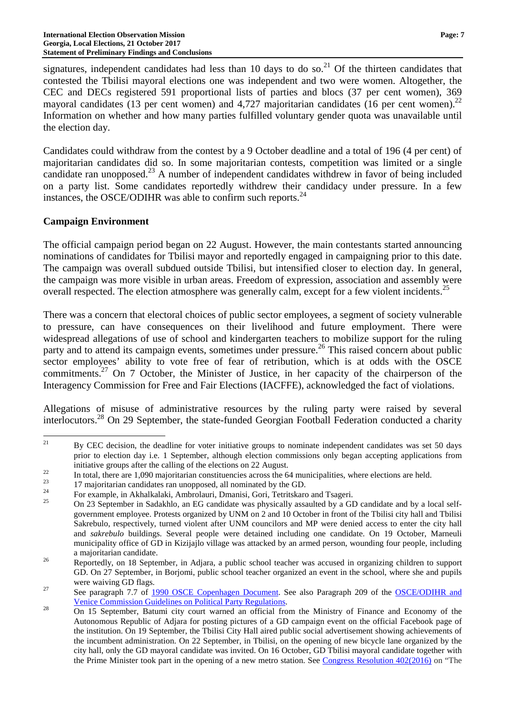signatures, independent candidates had less than 10 days to do so.<sup>21</sup> Of the thirteen candidates that contested the Tbilisi mayoral elections one was independent and two were women. Altogether, the CEC and DECs registered 591 proportional lists of parties and blocs (37 per cent women), 369 mayoral candidates (13 per cent women) and  $4,727$  majoritarian candidates (16 per cent women).<sup>22</sup> Information on whether and how many parties fulfilled voluntary gender quota was unavailable until the election day.

Candidates could withdraw from the contest by a 9 October deadline and a total of 196 (4 per cent) of majoritarian candidates did so. In some majoritarian contests, competition was limited or a single candidate ran unopposed.<sup>23</sup> A number of independent candidates withdrew in favor of being included on a party list. Some candidates reportedly withdrew their candidacy under pressure. In a few instances, the OSCE/ODIHR was able to confirm such reports. $^{24}$ 

### **Campaign Environment**

The official campaign period began on 22 August. However, the main contestants started announcing nominations of candidates for Tbilisi mayor and reportedly engaged in campaigning prior to this date. The campaign was overall subdued outside Tbilisi, but intensified closer to election day. In general, the campaign was more visible in urban areas. Freedom of expression, association and assembly were overall respected. The election atmosphere was generally calm, except for a few violent incidents.<sup>25</sup>

There was a concern that electoral choices of public sector employees, a segment of society vulnerable to pressure, can have consequences on their livelihood and future employment. There were widespread allegations of use of school and kindergarten teachers to mobilize support for the ruling party and to attend its campaign events, sometimes under pressure.<sup>26</sup> This raised concern about public sector employees' ability to vote free of fear of retribution, which is at odds with the OSCE commitments.<sup>27</sup> On 7 October, the Minister of Justice, in her capacity of the chairperson of the Interagency Commission for Free and Fair Elections (IACFFE), acknowledged the fact of violations.

Allegations of misuse of administrative resources by the ruling party were raised by several interlocutors.<sup>28</sup> On 29 September, the state-funded Georgian Football Federation conducted a charity

 $21$ <sup>21</sup> By CEC decision, the deadline for voter initiative groups to nominate independent candidates was set 50 days prior to election day i.e. 1 September, although election commissions only began accepting applications from initiative groups after the calling of the elections on 22 August.

 $22$  In total, there are 1,090 majoritarian constituencies across the 64 municipalities, where elections are held.

<sup>&</sup>lt;sup>23</sup> 17 majoritarian candidates ran unopposed, all nominated by the GD.

<sup>&</sup>lt;sup>24</sup> For example, in Akhalkalaki, Ambrolauri, Dmanisi, Gori, Tetritskaro and Tsageri.

<sup>25</sup> On 23 September in Sadakhlo, an EG candidate was physically assaulted by a GD candidate and by a local selfgovernment employee. Protests organized by UNM on 2 and 10 October in front of the Tbilisi city hall and Tbilisi Sakrebulo, respectively, turned violent after UNM councilors and MP were denied access to enter the city hall and *sakrebulo* buildings. Several people were detained including one candidate. On 19 October, Marneuli municipality office of GD in Kizijajlo village was attacked by an armed person, wounding four people, including a majoritarian candidate.

<sup>&</sup>lt;sup>26</sup> Reportedly, on 18 September, in Adjara, a public school teacher was accused in organizing children to support GD. On 27 September, in Borjomi, public school teacher organized an event in the school, where she and pupils were waiving GD flags.

<sup>&</sup>lt;sup>27</sup> See paragraph 7.7 of 1990 OSCE Copenhagen Document. See also Paragraph 209 of the OSCE/ODIHR and Venice Commission Guidelines on Political Party Regulations.

<sup>&</sup>lt;sup>28</sup> On 15 September, Batumi city court warned an official from the Ministry of Finance and Economy of the Autonomous Republic of Adjara for posting pictures of a GD campaign event on the official Facebook page of the institution. On 19 September, the Tbilisi City Hall aired public social advertisement showing achievements of the incumbent administration. On 22 September, in Tbilisi, on the opening of new bicycle lane organized by the city hall, only the GD mayoral candidate was invited. On 16 October, GD Tbilisi mayoral candidate together with the Prime Minister took part in the opening of a new metro station. See Congress Resolution 402(2016) on "The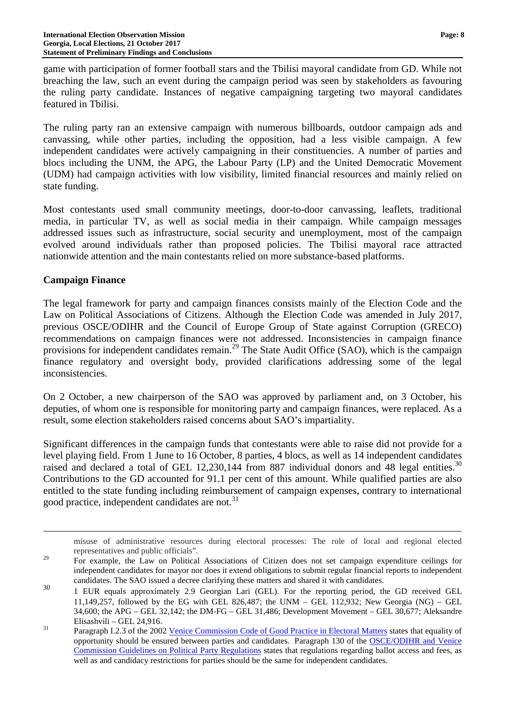game with participation of former football stars and the Tbilisi mayoral candidate from GD. While not breaching the law, such an event during the campaign period was seen by stakeholders as favouring the ruling party candidate. Instances of negative campaigning targeting two mayoral candidates featured in Tbilisi.

The ruling party ran an extensive campaign with numerous billboards, outdoor campaign ads and canvassing, while other parties, including the opposition, had a less visible campaign. A few independent candidates were actively campaigning in their constituencies. A number of parties and blocs including the UNM, the APG, the Labour Party (LP) and the United Democratic Movement (UDM) had campaign activities with low visibility, limited financial resources and mainly relied on state funding.

Most contestants used small community meetings, door-to-door canvassing, leaflets, traditional media, in particular TV, as well as social media in their campaign. While campaign messages addressed issues such as infrastructure, social security and unemployment, most of the campaign evolved around individuals rather than proposed policies. The Tbilisi mayoral race attracted nationwide attention and the main contestants relied on more substance-based platforms.

### **Campaign Finance**

 $\overline{a}$ 

The legal framework for party and campaign finances consists mainly of the Election Code and the Law on Political Associations of Citizens. Although the Election Code was amended in July 2017, previous OSCE/ODIHR and the Council of Europe Group of State against Corruption (GRECO) recommendations on campaign finances were not addressed. Inconsistencies in campaign finance provisions for independent candidates remain.<sup>29</sup> The State Audit Office (SAO), which is the campaign finance regulatory and oversight body, provided clarifications addressing some of the legal inconsistencies.

On 2 October, a new chairperson of the SAO was approved by parliament and, on 3 October, his deputies, of whom one is responsible for monitoring party and campaign finances, were replaced. As a result, some election stakeholders raised concerns about SAO's impartiality.

Significant differences in the campaign funds that contestants were able to raise did not provide for a level playing field. From 1 June to 16 October, 8 parties, 4 blocs, as well as 14 independent candidates raised and declared a total of GEL 12,230,144 from 887 individual donors and 48 legal entities.<sup>30</sup> Contributions to the GD accounted for 91.1 per cent of this amount. While qualified parties are also entitled to the state funding including reimbursement of campaign expenses, contrary to international good practice, independent candidates are not.<sup>31</sup>

misuse of administrative resources during electoral processes: The role of local and regional elected representatives and public officials".

<sup>29</sup> For example, the Law on Political Associations of Citizen does not set campaign expenditure ceilings for independent candidates for mayor nor does it extend obligations to submit regular financial reports to independent candidates. The SAO issued a decree clarifying these matters and shared it with candidates.

<sup>30</sup> 1 EUR equals approximately 2.9 Georgian Lari (GEL). For the reporting period, the GD received GEL 11,149,257, followed by the EG with GEL 826,487; the UNM – GEL 112,932; New Georgia (NG) – GEL 34,600; the APG – GEL 32,142; the DM-FG – GEL 31,486; Development Movement – GEL 30,677; Aleksandre Elisashvili – GEL 24,916.

<sup>&</sup>lt;sup>31</sup> Paragraph I.2.3 of the 2002 Venice Commission Code of Good Practice in Electoral Matters states that equality of opportunity should be ensured between parties and candidates. Paragraph 130 of the OSCE/ODIHR and Venice Commission Guidelines on Political Party Regulations states that regulations regarding ballot access and fees, as well as and candidacy restrictions for parties should be the same for independent candidates.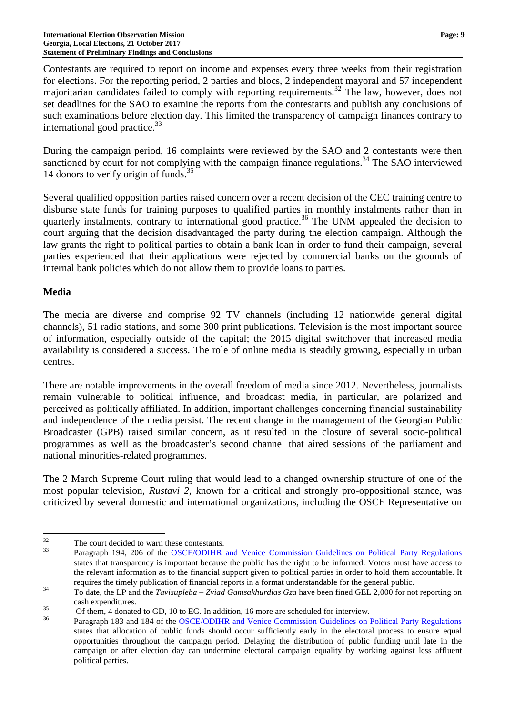Contestants are required to report on income and expenses every three weeks from their registration for elections. For the reporting period, 2 parties and blocs, 2 independent mayoral and 57 independent majoritarian candidates failed to comply with reporting requirements.<sup>32</sup> The law, however, does not set deadlines for the SAO to examine the reports from the contestants and publish any conclusions of such examinations before election day. This limited the transparency of campaign finances contrary to international good practice.<sup>33</sup>

During the campaign period, 16 complaints were reviewed by the SAO and 2 contestants were then sanctioned by court for not complying with the campaign finance regulations.<sup>34</sup> The SAO interviewed 14 donors to verify origin of funds. $35$ 

Several qualified opposition parties raised concern over a recent decision of the CEC training centre to disburse state funds for training purposes to qualified parties in monthly instalments rather than in quarterly instalments, contrary to international good practice.<sup>36</sup> The UNM appealed the decision to court arguing that the decision disadvantaged the party during the election campaign. Although the law grants the right to political parties to obtain a bank loan in order to fund their campaign, several parties experienced that their applications were rejected by commercial banks on the grounds of internal bank policies which do not allow them to provide loans to parties.

# **Media**

The media are diverse and comprise 92 TV channels (including 12 nationwide general digital channels), 51 radio stations, and some 300 print publications. Television is the most important source of information, especially outside of the capital; the 2015 digital switchover that increased media availability is considered a success. The role of online media is steadily growing, especially in urban centres.

There are notable improvements in the overall freedom of media since 2012. Nevertheless, journalists remain vulnerable to political influence, and broadcast media, in particular, are polarized and perceived as politically affiliated. In addition, important challenges concerning financial sustainability and independence of the media persist. The recent change in the management of the Georgian Public Broadcaster (GPB) raised similar concern, as it resulted in the closure of several socio-political programmes as well as the broadcaster's second channel that aired sessions of the parliament and national minorities-related programmes.

The 2 March Supreme Court ruling that would lead to a changed ownership structure of one of the most popular television, *Rustavi 2*, known for a critical and strongly pro-oppositional stance, was criticized by several domestic and international organizations, including the OSCE Representative on

 $32$  $\frac{32}{33}$  The court decided to warn these contestants.

Paragraph 194, 206 of the OSCE/ODIHR and Venice Commission Guidelines on Political Party Regulations states that transparency is important because the public has the right to be informed. Voters must have access to the relevant information as to the financial support given to political parties in order to hold them accountable. It requires the timely publication of financial reports in a format understandable for the general public.

<sup>34</sup> To date, the LP and the *Tavisupleba – Zviad Gamsakhurdias Gza* have been fined GEL 2,000 for not reporting on cash expenditures.

<sup>&</sup>lt;sup>35</sup> Of them, 4 donated to GD, 10 to EG. In addition, 16 more are scheduled for interview.

Paragraph 183 and 184 of the OSCE/ODIHR and Venice Commission Guidelines on Political Party Regulations states that allocation of public funds should occur sufficiently early in the electoral process to ensure equal opportunities throughout the campaign period. Delaying the distribution of public funding until late in the campaign or after election day can undermine electoral campaign equality by working against less affluent political parties.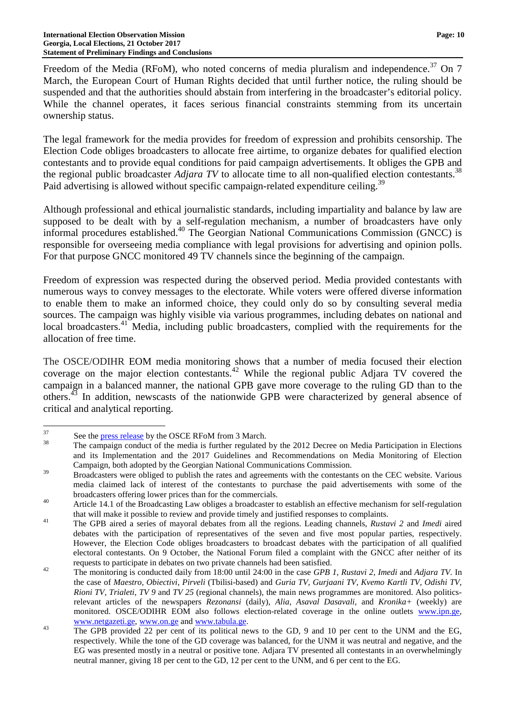Freedom of the Media (RFoM), who noted concerns of media pluralism and independence.<sup>37</sup> On 7 March, the European Court of Human Rights decided that until further notice, the ruling should be suspended and that the authorities should abstain from interfering in the broadcaster's editorial policy. While the channel operates, it faces serious financial constraints stemming from its uncertain ownership status.

The legal framework for the media provides for freedom of expression and prohibits censorship. The Election Code obliges broadcasters to allocate free airtime, to organize debates for qualified election contestants and to provide equal conditions for paid campaign advertisements. It obliges the GPB and the regional public broadcaster *Adjara TV* to allocate time to all non-qualified election contestants.<sup>38</sup> Paid advertising is allowed without specific campaign-related expenditure ceiling.<sup>39</sup>

Although professional and ethical journalistic standards, including impartiality and balance by law are supposed to be dealt with by a self-regulation mechanism, a number of broadcasters have only informal procedures established.<sup>40</sup> The Georgian National Communications Commission (GNCC) is responsible for overseeing media compliance with legal provisions for advertising and opinion polls. For that purpose GNCC monitored 49 TV channels since the beginning of the campaign.

Freedom of expression was respected during the observed period. Media provided contestants with numerous ways to convey messages to the electorate. While voters were offered diverse information to enable them to make an informed choice, they could only do so by consulting several media sources. The campaign was highly visible via various programmes, including debates on national and local broadcasters.<sup>41</sup> Media, including public broadcasters, complied with the requirements for the allocation of free time.

The OSCE/ODIHR EOM media monitoring shows that a number of media focused their election coverage on the major election contestants.<sup>42</sup> While the regional public Adjara TV covered the campaign in a balanced manner, the national GPB gave more coverage to the ruling GD than to the others.<sup>43</sup> In addition, newscasts of the nationwide GPB were characterized by general absence of critical and analytical reporting.

<sup>37</sup>  $37 \t\text{See the press release by the OSCE RFoM from 3 March.}$ 

<sup>38</sup> The campaign conduct of the media is further regulated by the 2012 Decree on Media Participation in Elections and its Implementation and the 2017 Guidelines and Recommendations on Media Monitoring of Election Campaign, both adopted by the Georgian National Communications Commission.

<sup>&</sup>lt;sup>39</sup> Broadcasters were obliged to publish the rates and agreements with the contestants on the CEC website. Various media claimed lack of interest of the contestants to purchase the paid advertisements with some of the broadcasters offering lower prices than for the commercials.

<sup>&</sup>lt;sup>40</sup> Article 14.1 of the Broadcasting Law obliges a broadcaster to establish an effective mechanism for self-regulation that will make it possible to review and provide timely and justified responses to complaints.

<sup>41</sup> The GPB aired a series of mayoral debates from all the regions. Leading channels, *Rustavi 2* and *Imedi* aired debates with the participation of representatives of the seven and five most popular parties, respectively. However, the Election Code obliges broadcasters to broadcast debates with the participation of all qualified electoral contestants. On 9 October, the National Forum filed a complaint with the GNCC after neither of its requests to participate in debates on two private channels had been satisfied.

<sup>42</sup> The monitoring is conducted daily from 18:00 until 24:00 in the case *GPB 1*, *Rustavi 2, Imedi* and *Adjara TV.* In the case of *Maestro, Obiectivi, Pirveli* (Tbilisi-based) and *Guria TV, Gurjaani TV, Kvemo Kartli TV, Odishi TV, Rioni TV, Trialeti, TV 9* and *TV 25* (regional channels), the main news programmes are monitored. Also politicsrelevant articles of the newspapers *Rezonansi* (daily), *Alia, Asaval Dasavali,* and *Kronika+* (weekly) are monitored. OSCE/ODIHR EOM also follows election-related coverage in the online outlets www.ipn.ge, www.netgazeti.ge, www.on.ge and www.tabula.ge.

<sup>&</sup>lt;sup>43</sup> The GPB provided 22 per cent of its political news to the GD, 9 and 10 per cent to the UNM and the EG, respectively. While the tone of the GD coverage was balanced, for the UNM it was neutral and negative, and the EG was presented mostly in a neutral or positive tone. Adjara TV presented all contestants in an overwhelmingly neutral manner, giving 18 per cent to the GD, 12 per cent to the UNM, and 6 per cent to the EG.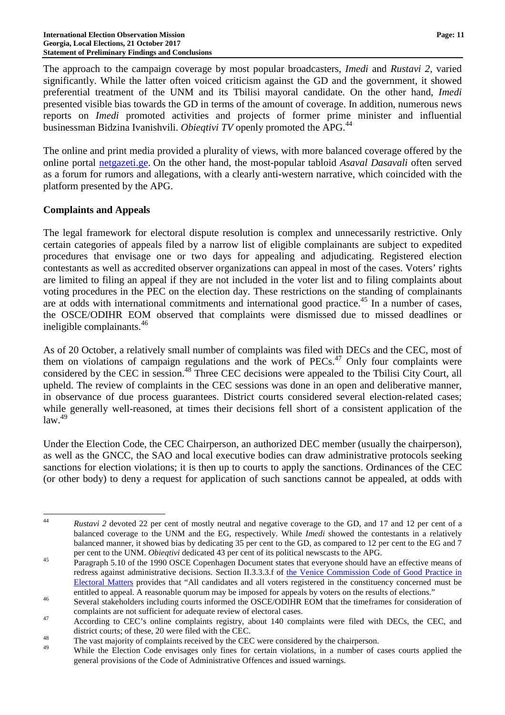The approach to the campaign coverage by most popular broadcasters, *Imedi* and *Rustavi 2*, varied significantly. While the latter often voiced criticism against the GD and the government, it showed preferential treatment of the UNM and its Tbilisi mayoral candidate. On the other hand, *Imedi* presented visible bias towards the GD in terms of the amount of coverage. In addition, numerous news reports on *Imedi* promoted activities and projects of former prime minister and influential businessman Bidzina Ivanishvili. *Obieqtivi TV* openly promoted the APG.<sup>44</sup>

The online and print media provided a plurality of views, with more balanced coverage offered by the online portal netgazeti.ge. On the other hand, the most-popular tabloid *Asaval Dasavali* often served as a forum for rumors and allegations, with a clearly anti-western narrative, which coincided with the platform presented by the APG.

### **Complaints and Appeals**

The legal framework for electoral dispute resolution is complex and unnecessarily restrictive. Only certain categories of appeals filed by a narrow list of eligible complainants are subject to expedited procedures that envisage one or two days for appealing and adjudicating. Registered election contestants as well as accredited observer organizations can appeal in most of the cases. Voters' rights are limited to filing an appeal if they are not included in the voter list and to filing complaints about voting procedures in the PEC on the election day. These restrictions on the standing of complainants are at odds with international commitments and international good practice.<sup>45</sup> In a number of cases, the OSCE/ODIHR EOM observed that complaints were dismissed due to missed deadlines or ineligible complainants.<sup>46</sup>

As of 20 October, a relatively small number of complaints was filed with DECs and the CEC, most of them on violations of campaign regulations and the work of  $PECs<sup>47</sup>$  Only four complaints were considered by the CEC in session.<sup>48</sup> Three CEC decisions were appealed to the Tbilisi City Court, all upheld. The review of complaints in the CEC sessions was done in an open and deliberative manner, in observance of due process guarantees. District courts considered several election-related cases; while generally well-reasoned, at times their decisions fell short of a consistent application of the  $\frac{1}{2}$ law<sup>49</sup>

Under the Election Code, the CEC Chairperson, an authorized DEC member (usually the chairperson), as well as the GNCC, the SAO and local executive bodies can draw administrative protocols seeking sanctions for election violations; it is then up to courts to apply the sanctions. Ordinances of the CEC (or other body) to deny a request for application of such sanctions cannot be appealed, at odds with

 44 *Rustavi 2* devoted 22 per cent of mostly neutral and negative coverage to the GD, and 17 and 12 per cent of a balanced coverage to the UNM and the EG, respectively. While *Imedi* showed the contestants in a relatively balanced manner, it showed bias by dedicating 35 per cent to the GD, as compared to 12 per cent to the EG and 7 per cent to the UNM. *Obieqtivi* dedicated 43 per cent of its political newscasts to the APG.

<sup>&</sup>lt;sup>45</sup> Paragraph 5.10 of the 1990 OSCE Copenhagen Document states that everyone should have an effective means of redress against administrative decisions. Section II.3.3.3.f of the Venice Commission Code of Good Practice in Electoral Matters provides that "All candidates and all voters registered in the constituency concerned must be entitled to appeal. A reasonable quorum may be imposed for appeals by voters on the results of elections."

<sup>46</sup> Several stakeholders including courts informed the OSCE/ODIHR EOM that the timeframes for consideration of complaints are not sufficient for adequate review of electoral cases.

<sup>&</sup>lt;sup>47</sup> According to CEC's online complaints registry, about 140 complaints were filed with DECs, the CEC, and district courts; of these, 20 were filed with the CEC.

<sup>&</sup>lt;sup>48</sup> The vast majority of complaints received by the CEC were considered by the chairperson.

While the Election Code envisages only fines for certain violations, in a number of cases courts applied the general provisions of the Code of Administrative Offences and issued warnings.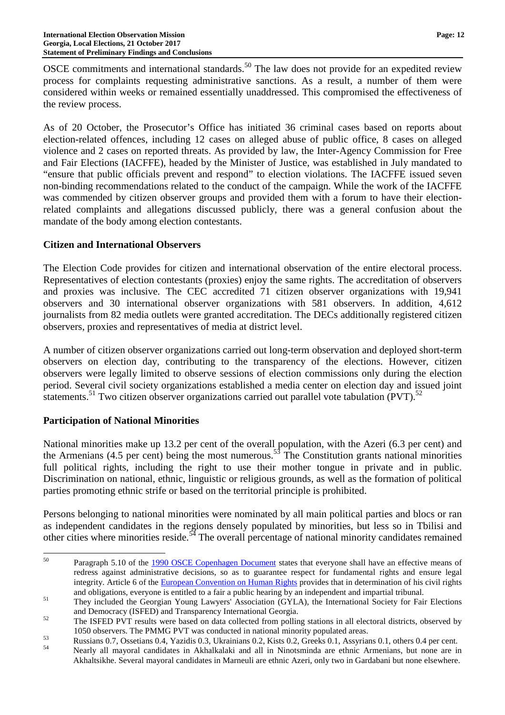OSCE commitments and international standards.<sup>50</sup> The law does not provide for an expedited review process for complaints requesting administrative sanctions. As a result, a number of them were considered within weeks or remained essentially unaddressed. This compromised the effectiveness of the review process.

As of 20 October, the Prosecutor's Office has initiated 36 criminal cases based on reports about election-related offences, including 12 cases on alleged abuse of public office, 8 cases on alleged violence and 2 cases on reported threats. As provided by law, the Inter-Agency Commission for Free and Fair Elections (IACFFE), headed by the Minister of Justice, was established in July mandated to "ensure that public officials prevent and respond" to election violations. The IACFFE issued seven non-binding recommendations related to the conduct of the campaign. While the work of the IACFFE was commended by citizen observer groups and provided them with a forum to have their electionrelated complaints and allegations discussed publicly, there was a general confusion about the mandate of the body among election contestants.

# **Citizen and International Observers**

The Election Code provides for citizen and international observation of the entire electoral process. Representatives of election contestants (proxies) enjoy the same rights. The accreditation of observers and proxies was inclusive. The CEC accredited 71 citizen observer organizations with 19,941 observers and 30 international observer organizations with 581 observers. In addition, 4,612 journalists from 82 media outlets were granted accreditation. The DECs additionally registered citizen observers, proxies and representatives of media at district level.

A number of citizen observer organizations carried out long-term observation and deployed short-term observers on election day, contributing to the transparency of the elections. However, citizen observers were legally limited to observe sessions of election commissions only during the election period. Several civil society organizations established a media center on election day and issued joint statements.<sup>51</sup> Two citizen observer organizations carried out parallel vote tabulation (PVT).<sup>52</sup>

# **Participation of National Minorities**

National minorities make up 13.2 per cent of the overall population, with the Azeri (6.3 per cent) and the Armenians (4.5 per cent) being the most numerous.<sup>53</sup> The Constitution grants national minorities full political rights, including the right to use their mother tongue in private and in public. Discrimination on national, ethnic, linguistic or religious grounds, as well as the formation of political parties promoting ethnic strife or based on the territorial principle is prohibited.

Persons belonging to national minorities were nominated by all main political parties and blocs or ran as independent candidates in the regions densely populated by minorities, but less so in Tbilisi and other cities where minorities reside.<sup>54</sup> The overall percentage of national minority candidates remained

<sup>50</sup> <sup>50</sup> Paragraph 5.10 of the 1990 OSCE Copenhagen Document states that everyone shall have an effective means of redress against administrative decisions, so as to guarantee respect for fundamental rights and ensure legal integrity. Article 6 of the European Convention on Human Rights provides that in determination of his civil rights and obligations, everyone is entitled to a fair a public hearing by an independent and impartial tribunal.

<sup>&</sup>lt;sup>51</sup> They included the Georgian Young Lawyers' Association (GYLA), the International Society for Fair Elections and Democracy (ISFED) and Transparency International Georgia.

 $52$  The ISFED PVT results were based on data collected from polling stations in all electoral districts, observed by 1050 observers. The PMMG PVT was conducted in national minority populated areas.

<sup>53</sup> Russians 0.7, Ossetians 0.4, Yazidis 0.3, Ukrainians 0.2, Kists 0.2, Greeks 0.1, Assyrians 0.1, others 0.4 per cent.

<sup>54</sup> Nearly all mayoral candidates in Akhalkalaki and all in Ninotsminda are ethnic Armenians, but none are in Akhaltsikhe. Several mayoral candidates in Marneuli are ethnic Azeri, only two in Gardabani but none elsewhere.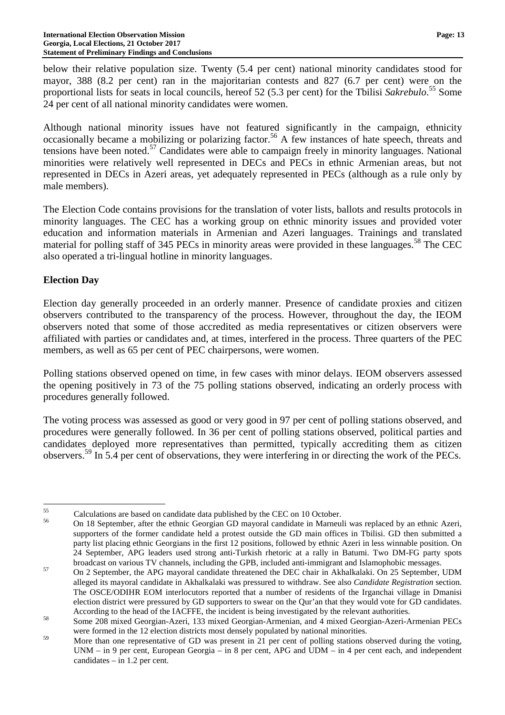below their relative population size. Twenty (5.4 per cent) national minority candidates stood for mayor, 388 (8.2 per cent) ran in the majoritarian contests and 827 (6.7 per cent) were on the proportional lists for seats in local councils, hereof 52 (5.3 per cent) for the Tbilisi *Sakrebulo*. <sup>55</sup> Some 24 per cent of all national minority candidates were women.

Although national minority issues have not featured significantly in the campaign, ethnicity occasionally became a mobilizing or polarizing factor.<sup>56</sup> A few instances of hate speech, threats and tensions have been noted.<sup>57</sup> Candidates were able to campaign freely in minority languages. National minorities were relatively well represented in DECs and PECs in ethnic Armenian areas, but not represented in DECs in Azeri areas, yet adequately represented in PECs (although as a rule only by male members).

The Election Code contains provisions for the translation of voter lists, ballots and results protocols in minority languages. The CEC has a working group on ethnic minority issues and provided voter education and information materials in Armenian and Azeri languages. Trainings and translated material for polling staff of 345 PECs in minority areas were provided in these languages.<sup>58</sup> The CEC also operated a tri-lingual hotline in minority languages.

# **Election Day**

Election day generally proceeded in an orderly manner. Presence of candidate proxies and citizen observers contributed to the transparency of the process. However, throughout the day, the IEOM observers noted that some of those accredited as media representatives or citizen observers were affiliated with parties or candidates and, at times, interfered in the process. Three quarters of the PEC members, as well as 65 per cent of PEC chairpersons, were women.

Polling stations observed opened on time, in few cases with minor delays. IEOM observers assessed the opening positively in 73 of the 75 polling stations observed, indicating an orderly process with procedures generally followed.

The voting process was assessed as good or very good in 97 per cent of polling stations observed, and procedures were generally followed. In 36 per cent of polling stations observed, political parties and candidates deployed more representatives than permitted, typically accrediting them as citizen observers.<sup>59</sup> In 5.4 per cent of observations, they were interfering in or directing the work of the PECs.

 $\overline{a}$  $^{55}$  Calculations are based on candidate data published by the CEC on 10 October.

<sup>56</sup> On 18 September, after the ethnic Georgian GD mayoral candidate in Marneuli was replaced by an ethnic Azeri, supporters of the former candidate held a protest outside the GD main offices in Tbilisi. GD then submitted a party list placing ethnic Georgians in the first 12 positions, followed by ethnic Azeri in less winnable position. On 24 September, APG leaders used strong anti-Turkish rhetoric at a rally in Batumi. Two DM-FG party spots broadcast on various TV channels, including the GPB, included anti-immigrant and Islamophobic messages.

<sup>&</sup>lt;sup>57</sup> On 2 September, the APG mayoral candidate threatened the DEC chair in Akhalkalaki. On 25 September, UDM alleged its mayoral candidate in Akhalkalaki was pressured to withdraw. See also *Candidate Registration* section. The OSCE/ODIHR EOM interlocutors reported that a number of residents of the Irganchai village in Dmanisi election district were pressured by GD supporters to swear on the Qur'an that they would vote for GD candidates. According to the head of the IACFFE, the incident is being investigated by the relevant authorities.

<sup>58</sup> Some 208 mixed Georgian-Azeri, 133 mixed Georgian-Armenian, and 4 mixed Georgian-Azeri-Armenian PECs were formed in the 12 election districts most densely populated by national minorities.

<sup>&</sup>lt;sup>59</sup> More than one representative of GD was present in 21 per cent of polling stations observed during the voting, UNM – in 9 per cent, European Georgia – in 8 per cent, APG and UDM – in 4 per cent each, and independent candidates – in 1.2 per cent.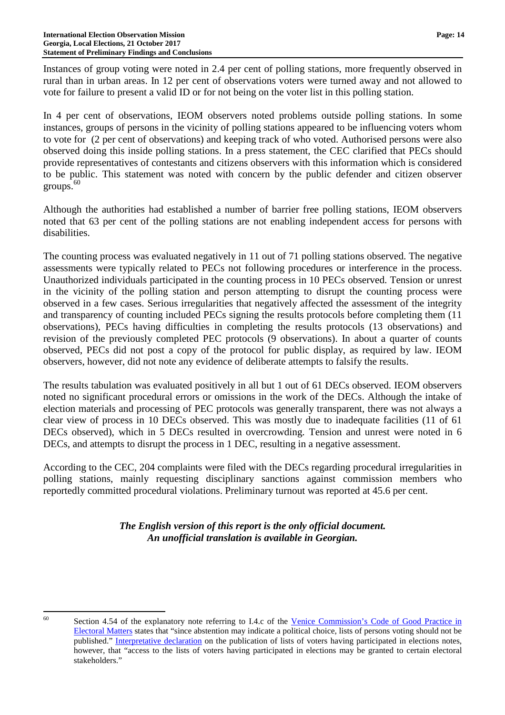Instances of group voting were noted in 2.4 per cent of polling stations, more frequently observed in rural than in urban areas. In 12 per cent of observations voters were turned away and not allowed to vote for failure to present a valid ID or for not being on the voter list in this polling station.

In 4 per cent of observations, IEOM observers noted problems outside polling stations. In some instances, groups of persons in the vicinity of polling stations appeared to be influencing voters whom to vote for (2 per cent of observations) and keeping track of who voted. Authorised persons were also observed doing this inside polling stations. In a press statement, the CEC clarified that PECs should provide representatives of contestants and citizens observers with this information which is considered to be public. This statement was noted with concern by the public defender and citizen observer  $groups.<sup>60</sup>$ 

Although the authorities had established a number of barrier free polling stations, IEOM observers noted that 63 per cent of the polling stations are not enabling independent access for persons with disabilities.

The counting process was evaluated negatively in 11 out of 71 polling stations observed. The negative assessments were typically related to PECs not following procedures or interference in the process. Unauthorized individuals participated in the counting process in 10 PECs observed. Tension or unrest in the vicinity of the polling station and person attempting to disrupt the counting process were observed in a few cases. Serious irregularities that negatively affected the assessment of the integrity and transparency of counting included PECs signing the results protocols before completing them (11 observations), PECs having difficulties in completing the results protocols (13 observations) and revision of the previously completed PEC protocols (9 observations). In about a quarter of counts observed, PECs did not post a copy of the protocol for public display, as required by law. IEOM observers, however, did not note any evidence of deliberate attempts to falsify the results.

The results tabulation was evaluated positively in all but 1 out of 61 DECs observed. IEOM observers noted no significant procedural errors or omissions in the work of the DECs. Although the intake of election materials and processing of PEC protocols was generally transparent, there was not always a clear view of process in 10 DECs observed. This was mostly due to inadequate facilities (11 of 61 DECs observed), which in 5 DECs resulted in overcrowding. Tension and unrest were noted in 6 DECs, and attempts to disrupt the process in 1 DEC, resulting in a negative assessment.

According to the CEC, 204 complaints were filed with the DECs regarding procedural irregularities in polling stations, mainly requesting disciplinary sanctions against commission members who reportedly committed procedural violations. Preliminary turnout was reported at 45.6 per cent.

> *The English version of this report is the only official document. An unofficial translation is available in Georgian.*

<sup>60</sup> 

Section 4.54 of the explanatory note referring to I.4.c of the Venice Commission's Code of Good Practice in Electoral Matters states that "since abstention may indicate a political choice, lists of persons voting should not be published." Interpretative declaration on the publication of lists of voters having participated in elections notes, however, that "access to the lists of voters having participated in elections may be granted to certain electoral stakeholders."